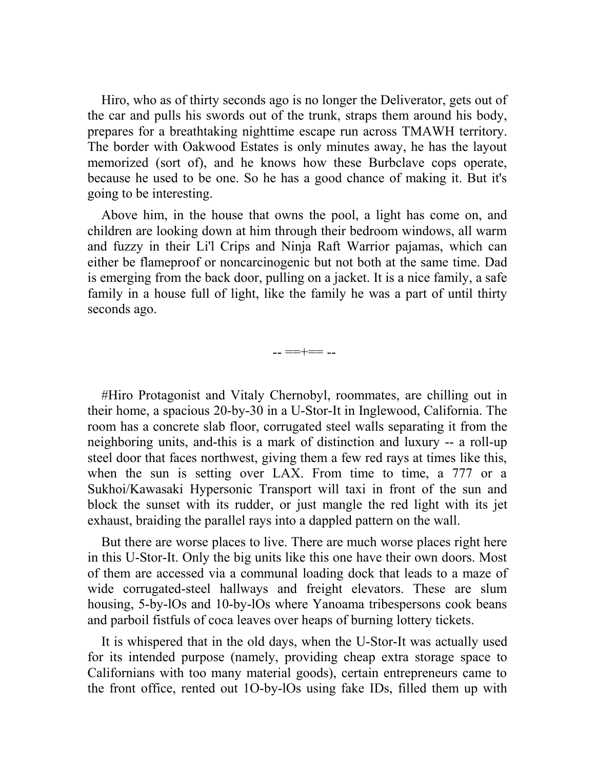Hiro, who as of thirty seconds ago is no longer the Deliverator, gets out of the car and pulls his swords out of the trunk, straps them around his body, prepares for a breathtaking nighttime escape run across TMAWH territory. The border with Oakwood Estates is only minutes away, he has the layout memorized (sort of), and he knows how these Burbclave cops operate, because he used to be one. So he has a good chance of making it. But it's going to be interesting.

Above him, in the house that owns the pool, a light has come on, and children are looking down at him through their bedroom windows, all warm and fuzzy in their Li'l Crips and Ninja Raft Warrior pajamas, which can either be flameproof or noncarcinogenic but not both at the same time. Dad is emerging from the back door, pulling on a jacket. It is a nice family, a safe family in a house full of light, like the family he was a part of until thirty seconds ago.

 $=$   $+$   $=$   $-$ 

#Hiro Protagonist and Vitaly Chernobyl, roommates, are chilling out in their home, a spacious 20-by-30 in a U-Stor-It in Inglewood, California. The room has a concrete slab floor, corrugated steel walls separating it from the neighboring units, and-this is a mark of distinction and luxury -- a roll-up steel door that faces northwest, giving them a few red rays at times like this, when the sun is setting over LAX. From time to time, a 777 or a Sukhoi/Kawasaki Hypersonic Transport will taxi in front of the sun and block the sunset with its rudder, or just mangle the red light with its jet exhaust, braiding the parallel rays into a dappled pattern on the wall.

But there are worse places to live. There are much worse places right here in this U-Stor-It. Only the big units like this one have their own doors. Most of them are accessed via a communal loading dock that leads to a maze of wide corrugated-steel hallways and freight elevators. These are slum housing, 5-by-lOs and 10-by-lOs where Yanoama tribespersons cook beans and parboil fistfuls of coca leaves over heaps of burning lottery tickets.

It is whispered that in the old days, when the U-Stor-It was actually used for its intended purpose (namely, providing cheap extra storage space to Californians with too many material goods), certain entrepreneurs came to the front office, rented out 1O-by-lOs using fake IDs, filled them up with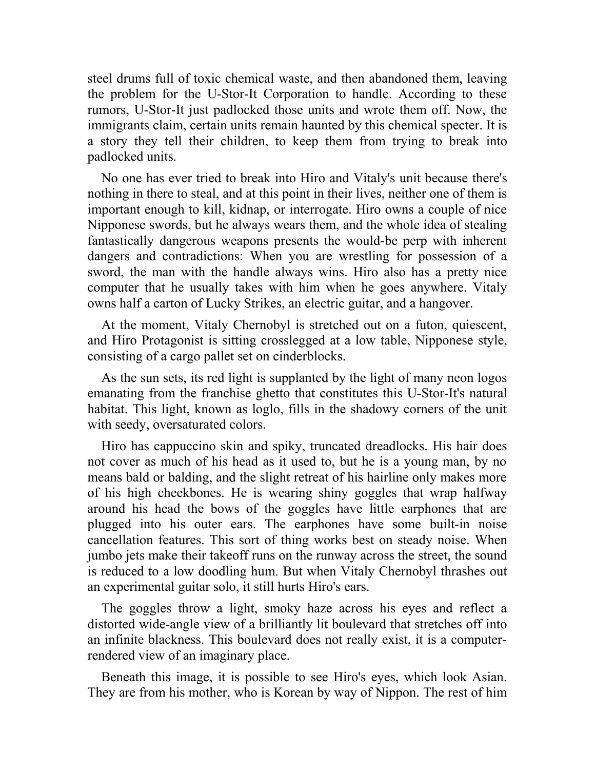steel drums full of toxic chemical waste, and then abandoned them, leaving the problem for the U-Stor-It Corporation to handle. According to these rumors, U-Stor-It just padlocked those units and wrote them off. Now, the immigrants claim, certain units remain haunted by this chemical specter. It is a story they tell their children, to keep them from trying to break into padlocked units.

No one has ever tried to break into Hiro and Vitaly's unit because there's nothing in there to steal, and at this point in their lives, neither one of them is important enough to kill, kidnap, or interrogate. Hiro owns a couple of nice Nipponese swords, but he always wears them, and the whole idea of stealing fantastically dangerous weapons presents the would-be perp with inherent dangers and contradictions: When you are wrestling for possession of a sword, the man with the handle always wins. Hiro also has a pretty nice computer that he usually takes with him when he goes anywhere. Vitaly owns half a carton of Lucky Strikes, an electric guitar, and a hangover.

At the moment, Vitaly Chernobyl is stretched out on a futon, quiescent, and Hiro Protagonist is sitting crosslegged at a low table, Nipponese style, consisting of a cargo pallet set on cinderblocks.

As the sun sets, its red light is supplanted by the light of many neon logos emanating from the franchise ghetto that constitutes this U-Stor-It's natural habitat. This light, known as loglo, fills in the shadowy corners of the unit with seedy, oversaturated colors.

Hiro has cappuccino skin and spiky, truncated dreadlocks. His hair does not cover as much of his head as it used to, but he is a young man, by no means bald or balding, and the slight retreat of his hairline only makes more of his high cheekbones. He is wearing shiny goggles that wrap halfway around his head the bows of the goggles have little earphones that are plugged into his outer ears. The earphones have some built-in noise cancellation features. This sort of thing works best on steady noise. When jumbo jets make their takeoff runs on the runway across the street, the sound is reduced to a low doodling hum. But when Vitaly Chernobyl thrashes out an experimental guitar solo, it still hurts Hiro's ears.

The goggles throw a light, smoky haze across his eyes and reflect a distorted wide-angle view of a brilliantly lit boulevard that stretches off into an infinite blackness. This boulevard does not really exist, it is a computerrendered view of an imaginary place.

Beneath this image, it is possible to see Hiro's eyes, which look Asian. They are from his mother, who is Korean by way of Nippon. The rest of him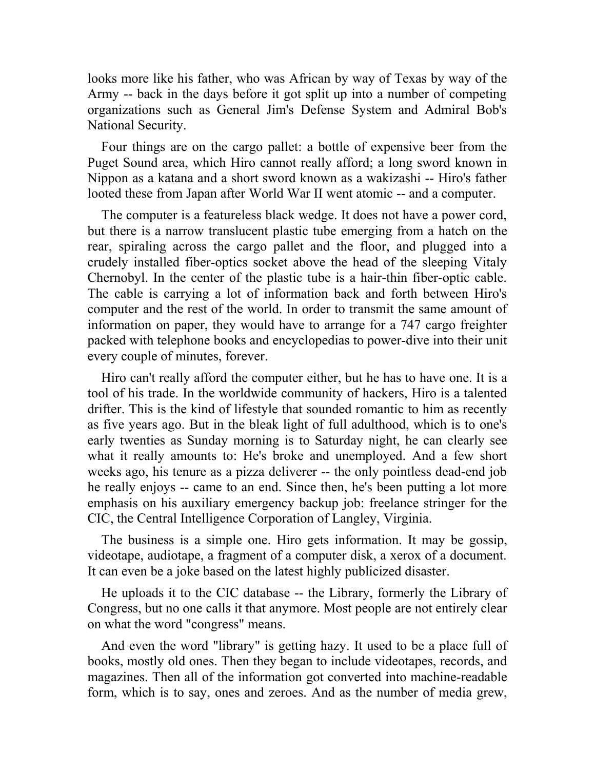looks more like his father, who was African by way of Texas by way of the Army -- back in the days before it got split up into a number of competing organizations such as General Jim's Defense System and Admiral Bob's National Security.

Four things are on the cargo pallet: a bottle of expensive beer from the Puget Sound area, which Hiro cannot really afford; a long sword known in Nippon as a katana and a short sword known as a wakizashi -- Hiro's father looted these from Japan after World War II went atomic -- and a computer.

The computer is a featureless black wedge. It does not have a power cord, but there is a narrow translucent plastic tube emerging from a hatch on the rear, spiraling across the cargo pallet and the floor, and plugged into a crudely installed fiber-optics socket above the head of the sleeping Vitaly Chernobyl. In the center of the plastic tube is a hair-thin fiber-optic cable. The cable is carrying a lot of information back and forth between Hiro's computer and the rest of the world. In order to transmit the same amount of information on paper, they would have to arrange for a 747 cargo freighter packed with telephone books and encyclopedias to power-dive into their unit every couple of minutes, forever.

Hiro can't really afford the computer either, but he has to have one. It is a tool of his trade. In the worldwide community of hackers, Hiro is a talented drifter. This is the kind of lifestyle that sounded romantic to him as recently as five years ago. But in the bleak light of full adulthood, which is to one's early twenties as Sunday morning is to Saturday night, he can clearly see what it really amounts to: He's broke and unemployed. And a few short weeks ago, his tenure as a pizza deliverer -- the only pointless dead-end job he really enjoys -- came to an end. Since then, he's been putting a lot more emphasis on his auxiliary emergency backup job: freelance stringer for the CIC, the Central Intelligence Corporation of Langley, Virginia.

The business is a simple one. Hiro gets information. It may be gossip, videotape, audiotape, a fragment of a computer disk, a xerox of a document. It can even be a joke based on the latest highly publicized disaster.

He uploads it to the CIC database -- the Library, formerly the Library of Congress, but no one calls it that anymore. Most people are not entirely clear on what the word "congress" means.

And even the word "library" is getting hazy. It used to be a place full of books, mostly old ones. Then they began to include videotapes, records, and magazines. Then all of the information got converted into machine-readable form, which is to say, ones and zeroes. And as the number of media grew,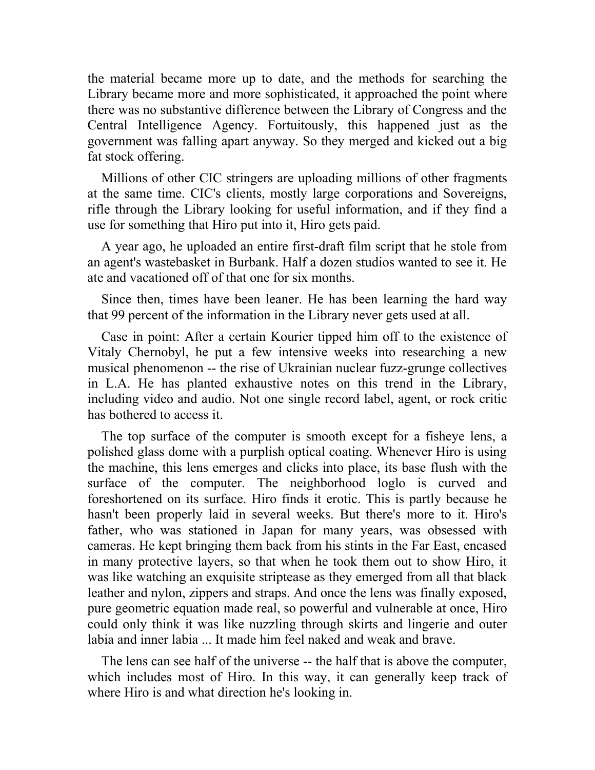the material became more up to date, and the methods for searching the Library became more and more sophisticated, it approached the point where there was no substantive difference between the Library of Congress and the Central Intelligence Agency. Fortuitously, this happened just as the government was falling apart anyway. So they merged and kicked out a big fat stock offering.

Millions of other CIC stringers are uploading millions of other fragments at the same time. CIC's clients, mostly large corporations and Sovereigns, rifle through the Library looking for useful information, and if they find a use for something that Hiro put into it, Hiro gets paid.

A year ago, he uploaded an entire first-draft film script that he stole from an agent's wastebasket in Burbank. Half a dozen studios wanted to see it. He ate and vacationed off of that one for six months.

Since then, times have been leaner. He has been learning the hard way that 99 percent of the information in the Library never gets used at all.

Case in point: After a certain Kourier tipped him off to the existence of Vitaly Chernobyl, he put a few intensive weeks into researching a new musical phenomenon -- the rise of Ukrainian nuclear fuzz-grunge collectives in L.A. He has planted exhaustive notes on this trend in the Library, including video and audio. Not one single record label, agent, or rock critic has bothered to access it.

The top surface of the computer is smooth except for a fisheye lens, a polished glass dome with a purplish optical coating. Whenever Hiro is using the machine, this lens emerges and clicks into place, its base flush with the surface of the computer. The neighborhood loglo is curved and foreshortened on its surface. Hiro finds it erotic. This is partly because he hasn't been properly laid in several weeks. But there's more to it. Hiro's father, who was stationed in Japan for many years, was obsessed with cameras. He kept bringing them back from his stints in the Far East, encased in many protective layers, so that when he took them out to show Hiro, it was like watching an exquisite striptease as they emerged from all that black leather and nylon, zippers and straps. And once the lens was finally exposed, pure geometric equation made real, so powerful and vulnerable at once, Hiro could only think it was like nuzzling through skirts and lingerie and outer labia and inner labia ... It made him feel naked and weak and brave.

The lens can see half of the universe -- the half that is above the computer, which includes most of Hiro. In this way, it can generally keep track of where Hiro is and what direction he's looking in.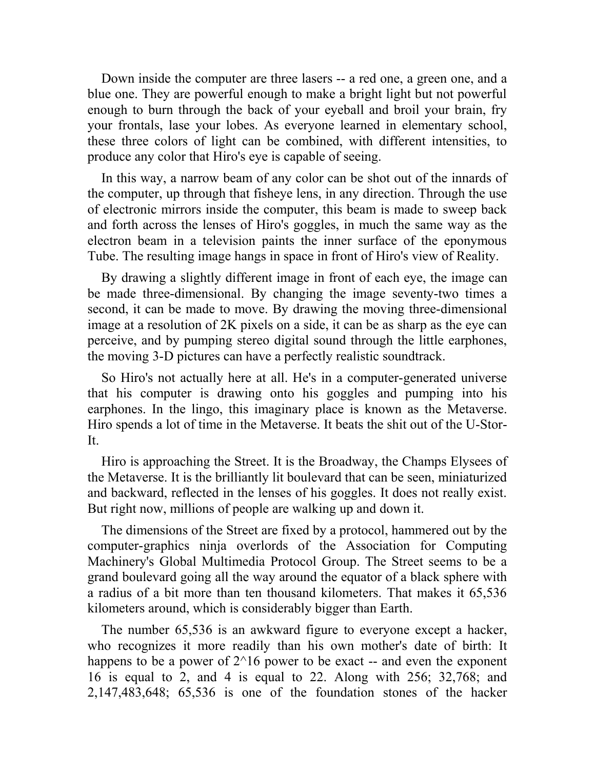Down inside the computer are three lasers -- a red one, a green one, and a blue one. They are powerful enough to make a bright light but not powerful enough to burn through the back of your eyeball and broil your brain, fry your frontals, lase your lobes. As everyone learned in elementary school, these three colors of light can be combined, with different intensities, to produce any color that Hiro's eye is capable of seeing.

In this way, a narrow beam of any color can be shot out of the innards of the computer, up through that fisheye lens, in any direction. Through the use of electronic mirrors inside the computer, this beam is made to sweep back and forth across the lenses of Hiro's goggles, in much the same way as the electron beam in a television paints the inner surface of the eponymous Tube. The resulting image hangs in space in front of Hiro's view of Reality.

By drawing a slightly different image in front of each eye, the image can be made three-dimensional. By changing the image seventy-two times a second, it can be made to move. By drawing the moving three-dimensional image at a resolution of 2K pixels on a side, it can be as sharp as the eye can perceive, and by pumping stereo digital sound through the little earphones, the moving 3-D pictures can have a perfectly realistic soundtrack.

So Hiro's not actually here at all. He's in a computer-generated universe that his computer is drawing onto his goggles and pumping into his earphones. In the lingo, this imaginary place is known as the Metaverse. Hiro spends a lot of time in the Metaverse. It beats the shit out of the U-Stor-It.

Hiro is approaching the Street. It is the Broadway, the Champs Elysees of the Metaverse. It is the brilliantly lit boulevard that can be seen, miniaturized and backward, reflected in the lenses of his goggles. It does not really exist. But right now, millions of people are walking up and down it.

The dimensions of the Street are fixed by a protocol, hammered out by the computer-graphics ninja overlords of the Association for Computing Machinery's Global Multimedia Protocol Group. The Street seems to be a grand boulevard going all the way around the equator of a black sphere with a radius of a bit more than ten thousand kilometers. That makes it 65,536 kilometers around, which is considerably bigger than Earth.

The number 65,536 is an awkward figure to everyone except a hacker, who recognizes it more readily than his own mother's date of birth: It happens to be a power of  $2^{\wedge}16$  power to be exact -- and even the exponent 16 is equal to 2, and 4 is equal to 22. Along with 256; 32,768; and 2,147,483,648; 65,536 is one of the foundation stones of the hacker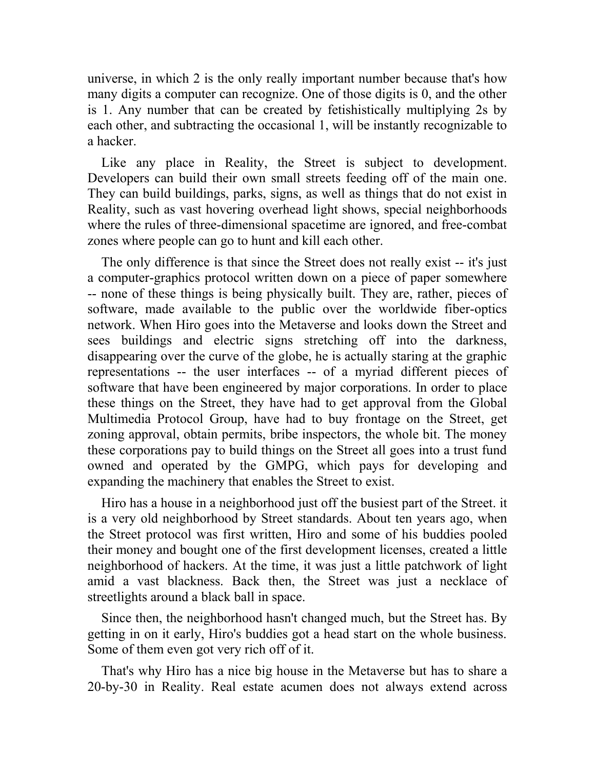universe, in which 2 is the only really important number because that's how many digits a computer can recognize. One of those digits is 0, and the other is 1. Any number that can be created by fetishistically multiplying 2s by each other, and subtracting the occasional 1, will be instantly recognizable to a hacker.

Like any place in Reality, the Street is subject to development. Developers can build their own small streets feeding off of the main one. They can build buildings, parks, signs, as well as things that do not exist in Reality, such as vast hovering overhead light shows, special neighborhoods where the rules of three-dimensional spacetime are ignored, and free-combat zones where people can go to hunt and kill each other.

The only difference is that since the Street does not really exist -- it's just a computer-graphics protocol written down on a piece of paper somewhere -- none of these things is being physically built. They are, rather, pieces of software, made available to the public over the worldwide fiber-optics network. When Hiro goes into the Metaverse and looks down the Street and sees buildings and electric signs stretching off into the darkness, disappearing over the curve of the globe, he is actually staring at the graphic representations -- the user interfaces -- of a myriad different pieces of software that have been engineered by major corporations. In order to place these things on the Street, they have had to get approval from the Global Multimedia Protocol Group, have had to buy frontage on the Street, get zoning approval, obtain permits, bribe inspectors, the whole bit. The money these corporations pay to build things on the Street all goes into a trust fund owned and operated by the GMPG, which pays for developing and expanding the machinery that enables the Street to exist.

Hiro has a house in a neighborhood just off the busiest part of the Street. it is a very old neighborhood by Street standards. About ten years ago, when the Street protocol was first written, Hiro and some of his buddies pooled their money and bought one of the first development licenses, created a little neighborhood of hackers. At the time, it was just a little patchwork of light amid a vast blackness. Back then, the Street was just a necklace of streetlights around a black ball in space.

Since then, the neighborhood hasn't changed much, but the Street has. By getting in on it early, Hiro's buddies got a head start on the whole business. Some of them even got very rich off of it.

That's why Hiro has a nice big house in the Metaverse but has to share a 20-by-30 in Reality. Real estate acumen does not always extend across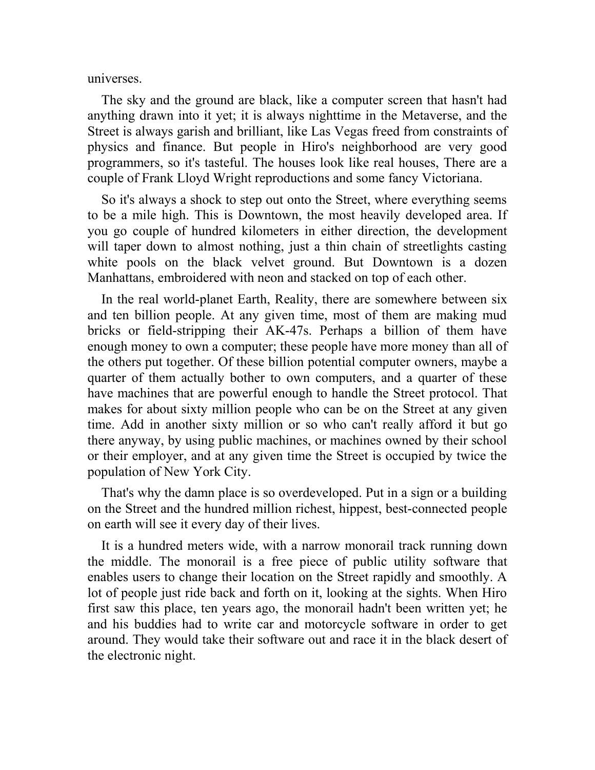universes.

The sky and the ground are black, like a computer screen that hasn't had anything drawn into it yet; it is always nighttime in the Metaverse, and the Street is always garish and brilliant, like Las Vegas freed from constraints of physics and finance. But people in Hiro's neighborhood are very good programmers, so it's tasteful. The houses look like real houses, There are a couple of Frank Lloyd Wright reproductions and some fancy Victoriana.

So it's always a shock to step out onto the Street, where everything seems to be a mile high. This is Downtown, the most heavily developed area. If you go couple of hundred kilometers in either direction, the development will taper down to almost nothing, just a thin chain of streetlights casting white pools on the black velvet ground. But Downtown is a dozen Manhattans, embroidered with neon and stacked on top of each other.

In the real world-planet Earth, Reality, there are somewhere between six and ten billion people. At any given time, most of them are making mud bricks or field-stripping their AK-47s. Perhaps a billion of them have enough money to own a computer; these people have more money than all of the others put together. Of these billion potential computer owners, maybe a quarter of them actually bother to own computers, and a quarter of these have machines that are powerful enough to handle the Street protocol. That makes for about sixty million people who can be on the Street at any given time. Add in another sixty million or so who can't really afford it but go there anyway, by using public machines, or machines owned by their school or their employer, and at any given time the Street is occupied by twice the population of New York City.

That's why the damn place is so overdeveloped. Put in a sign or a building on the Street and the hundred million richest, hippest, best-connected people on earth will see it every day of their lives.

It is a hundred meters wide, with a narrow monorail track running down the middle. The monorail is a free piece of public utility software that enables users to change their location on the Street rapidly and smoothly. A lot of people just ride back and forth on it, looking at the sights. When Hiro first saw this place, ten years ago, the monorail hadn't been written yet; he and his buddies had to write car and motorcycle software in order to get around. They would take their software out and race it in the black desert of the electronic night.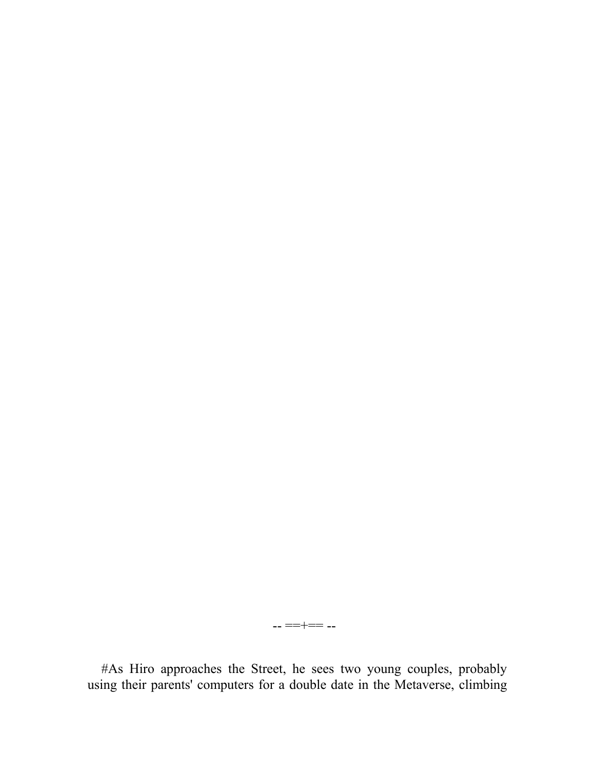$-- == += -$ 

#As Hiro approaches the Street, he sees two young couples, probably using their parents' computers for a double date in the Metaverse, climbing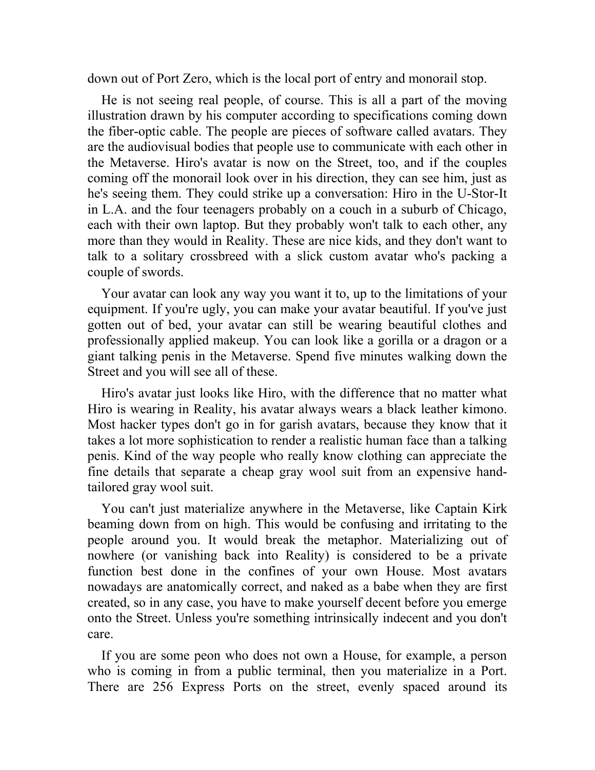down out of Port Zero, which is the local port of entry and monorail stop.

He is not seeing real people, of course. This is all a part of the moving illustration drawn by his computer according to specifications coming down the fiber-optic cable. The people are pieces of software called avatars. They are the audiovisual bodies that people use to communicate with each other in the Metaverse. Hiro's avatar is now on the Street, too, and if the couples coming off the monorail look over in his direction, they can see him, just as he's seeing them. They could strike up a conversation: Hiro in the U-Stor-It in L.A. and the four teenagers probably on a couch in a suburb of Chicago, each with their own laptop. But they probably won't talk to each other, any more than they would in Reality. These are nice kids, and they don't want to talk to a solitary crossbreed with a slick custom avatar who's packing a couple of swords.

Your avatar can look any way you want it to, up to the limitations of your equipment. If you're ugly, you can make your avatar beautiful. If you've just gotten out of bed, your avatar can still be wearing beautiful clothes and professionally applied makeup. You can look like a gorilla or a dragon or a giant talking penis in the Metaverse. Spend five minutes walking down the Street and you will see all of these.

Hiro's avatar just looks like Hiro, with the difference that no matter what Hiro is wearing in Reality, his avatar always wears a black leather kimono. Most hacker types don't go in for garish avatars, because they know that it takes a lot more sophistication to render a realistic human face than a talking penis. Kind of the way people who really know clothing can appreciate the fine details that separate a cheap gray wool suit from an expensive handtailored gray wool suit.

You can't just materialize anywhere in the Metaverse, like Captain Kirk beaming down from on high. This would be confusing and irritating to the people around you. It would break the metaphor. Materializing out of nowhere (or vanishing back into Reality) is considered to be a private function best done in the confines of your own House. Most avatars nowadays are anatomically correct, and naked as a babe when they are first created, so in any case, you have to make yourself decent before you emerge onto the Street. Unless you're something intrinsically indecent and you don't care.

If you are some peon who does not own a House, for example, a person who is coming in from a public terminal, then you materialize in a Port. There are 256 Express Ports on the street, evenly spaced around its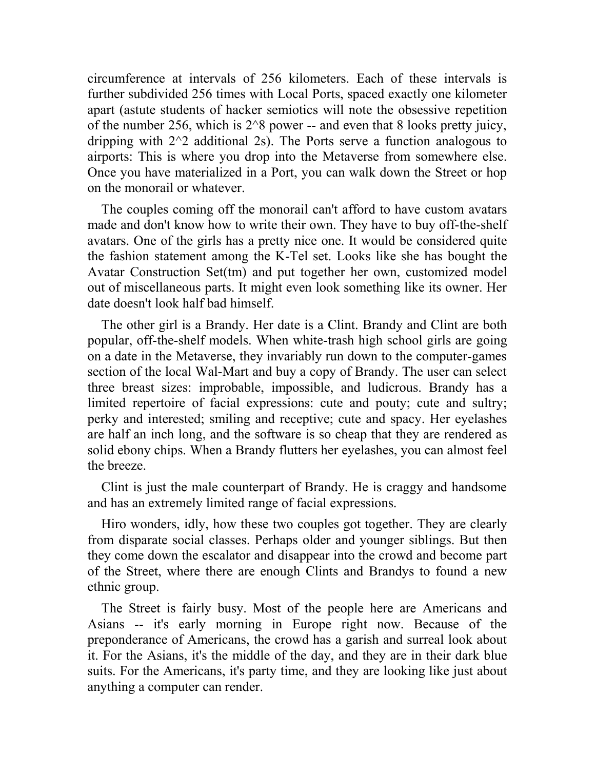circumference at intervals of 256 kilometers. Each of these intervals is further subdivided 256 times with Local Ports, spaced exactly one kilometer apart (astute students of hacker semiotics will note the obsessive repetition of the number 256, which is 2^8 power -- and even that 8 looks pretty juicy, dripping with  $2^2$  additional 2s). The Ports serve a function analogous to airports: This is where you drop into the Metaverse from somewhere else. Once you have materialized in a Port, you can walk down the Street or hop on the monorail or whatever.

The couples coming off the monorail can't afford to have custom avatars made and don't know how to write their own. They have to buy off-the-shelf avatars. One of the girls has a pretty nice one. It would be considered quite the fashion statement among the K-Tel set. Looks like she has bought the Avatar Construction Set(tm) and put together her own, customized model out of miscellaneous parts. It might even look something like its owner. Her date doesn't look half bad himself.

The other girl is a Brandy. Her date is a Clint. Brandy and Clint are both popular, off-the-shelf models. When white-trash high school girls are going on a date in the Metaverse, they invariably run down to the computer-games section of the local Wal-Mart and buy a copy of Brandy. The user can select three breast sizes: improbable, impossible, and ludicrous. Brandy has a limited repertoire of facial expressions: cute and pouty; cute and sultry; perky and interested; smiling and receptive; cute and spacy. Her eyelashes are half an inch long, and the software is so cheap that they are rendered as solid ebony chips. When a Brandy flutters her eyelashes, you can almost feel the breeze.

Clint is just the male counterpart of Brandy. He is craggy and handsome and has an extremely limited range of facial expressions.

Hiro wonders, idly, how these two couples got together. They are clearly from disparate social classes. Perhaps older and younger siblings. But then they come down the escalator and disappear into the crowd and become part of the Street, where there are enough Clints and Brandys to found a new ethnic group.

The Street is fairly busy. Most of the people here are Americans and Asians -- it's early morning in Europe right now. Because of the preponderance of Americans, the crowd has a garish and surreal look about it. For the Asians, it's the middle of the day, and they are in their dark blue suits. For the Americans, it's party time, and they are looking like just about anything a computer can render.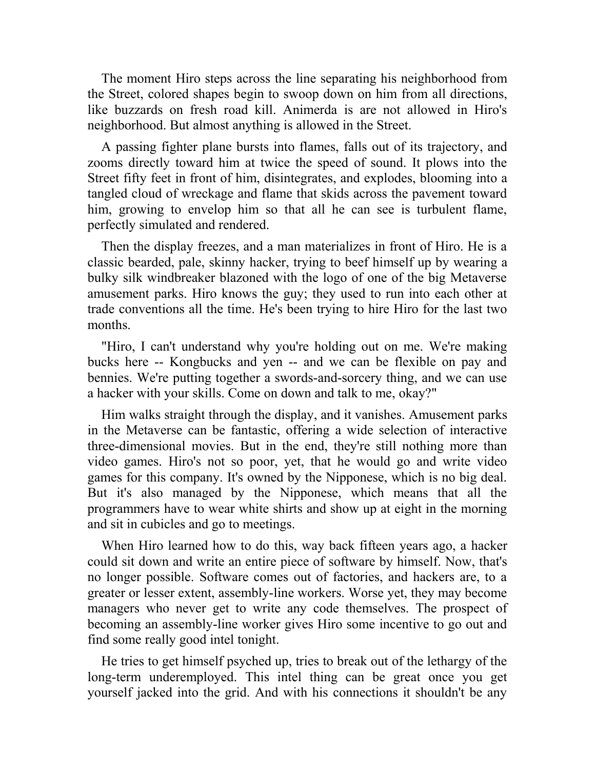The moment Hiro steps across the line separating his neighborhood from the Street, colored shapes begin to swoop down on him from all directions, like buzzards on fresh road kill. Animerda is are not allowed in Hiro's neighborhood. But almost anything is allowed in the Street.

A passing fighter plane bursts into flames, falls out of its trajectory, and zooms directly toward him at twice the speed of sound. It plows into the Street fifty feet in front of him, disintegrates, and explodes, blooming into a tangled cloud of wreckage and flame that skids across the pavement toward him, growing to envelop him so that all he can see is turbulent flame, perfectly simulated and rendered.

Then the display freezes, and a man materializes in front of Hiro. He is a classic bearded, pale, skinny hacker, trying to beef himself up by wearing a bulky silk windbreaker blazoned with the logo of one of the big Metaverse amusement parks. Hiro knows the guy; they used to run into each other at trade conventions all the time. He's been trying to hire Hiro for the last two months.

"Hiro, I can't understand why you're holding out on me. We're making bucks here -- Kongbucks and yen -- and we can be flexible on pay and bennies. We're putting together a swords-and-sorcery thing, and we can use a hacker with your skills. Come on down and talk to me, okay?"

Him walks straight through the display, and it vanishes. Amusement parks in the Metaverse can be fantastic, offering a wide selection of interactive three-dimensional movies. But in the end, they're still nothing more than video games. Hiro's not so poor, yet, that he would go and write video games for this company. It's owned by the Nipponese, which is no big deal. But it's also managed by the Nipponese, which means that all the programmers have to wear white shirts and show up at eight in the morning and sit in cubicles and go to meetings.

When Hiro learned how to do this, way back fifteen years ago, a hacker could sit down and write an entire piece of software by himself. Now, that's no longer possible. Software comes out of factories, and hackers are, to a greater or lesser extent, assembly-line workers. Worse yet, they may become managers who never get to write any code themselves. The prospect of becoming an assembly-line worker gives Hiro some incentive to go out and find some really good intel tonight.

He tries to get himself psyched up, tries to break out of the lethargy of the long-term underemployed. This intel thing can be great once you get yourself jacked into the grid. And with his connections it shouldn't be any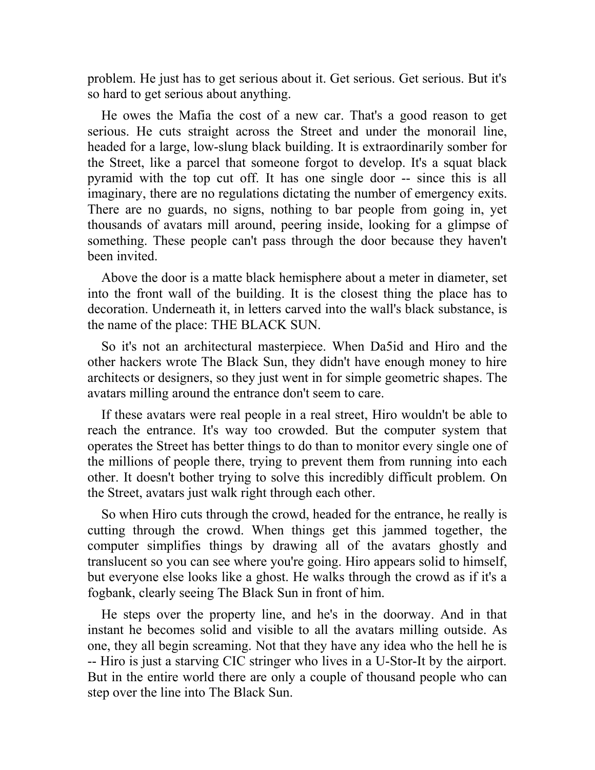problem. He just has to get serious about it. Get serious. Get serious. But it's so hard to get serious about anything.

He owes the Mafia the cost of a new car. That's a good reason to get serious. He cuts straight across the Street and under the monorail line, headed for a large, low-slung black building. It is extraordinarily somber for the Street, like a parcel that someone forgot to develop. It's a squat black pyramid with the top cut off. It has one single door -- since this is all imaginary, there are no regulations dictating the number of emergency exits. There are no guards, no signs, nothing to bar people from going in, yet thousands of avatars mill around, peering inside, looking for a glimpse of something. These people can't pass through the door because they haven't been invited.

Above the door is a matte black hemisphere about a meter in diameter, set into the front wall of the building. It is the closest thing the place has to decoration. Underneath it, in letters carved into the wall's black substance, is the name of the place: THE BLACK SUN.

So it's not an architectural masterpiece. When Da5id and Hiro and the other hackers wrote The Black Sun, they didn't have enough money to hire architects or designers, so they just went in for simple geometric shapes. The avatars milling around the entrance don't seem to care.

If these avatars were real people in a real street, Hiro wouldn't be able to reach the entrance. It's way too crowded. But the computer system that operates the Street has better things to do than to monitor every single one of the millions of people there, trying to prevent them from running into each other. It doesn't bother trying to solve this incredibly difficult problem. On the Street, avatars just walk right through each other.

So when Hiro cuts through the crowd, headed for the entrance, he really is cutting through the crowd. When things get this jammed together, the computer simplifies things by drawing all of the avatars ghostly and translucent so you can see where you're going. Hiro appears solid to himself, but everyone else looks like a ghost. He walks through the crowd as if it's a fogbank, clearly seeing The Black Sun in front of him.

He steps over the property line, and he's in the doorway. And in that instant he becomes solid and visible to all the avatars milling outside. As one, they all begin screaming. Not that they have any idea who the hell he is -- Hiro is just a starving CIC stringer who lives in a U-Stor-It by the airport. But in the entire world there are only a couple of thousand people who can step over the line into The Black Sun.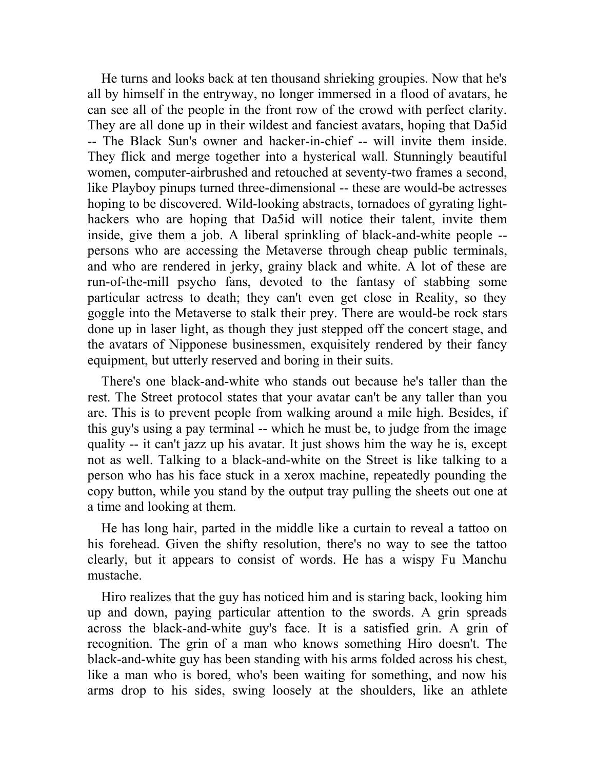He turns and looks back at ten thousand shrieking groupies. Now that he's all by himself in the entryway, no longer immersed in a flood of avatars, he can see all of the people in the front row of the crowd with perfect clarity. They are all done up in their wildest and fanciest avatars, hoping that Da5id -- The Black Sun's owner and hacker-in-chief -- will invite them inside. They flick and merge together into a hysterical wall. Stunningly beautiful women, computer-airbrushed and retouched at seventy-two frames a second, like Playboy pinups turned three-dimensional -- these are would-be actresses hoping to be discovered. Wild-looking abstracts, tornadoes of gyrating lighthackers who are hoping that Da5id will notice their talent, invite them inside, give them a job. A liberal sprinkling of black-and-white people - persons who are accessing the Metaverse through cheap public terminals, and who are rendered in jerky, grainy black and white. A lot of these are run-of-the-mill psycho fans, devoted to the fantasy of stabbing some particular actress to death; they can't even get close in Reality, so they goggle into the Metaverse to stalk their prey. There are would-be rock stars done up in laser light, as though they just stepped off the concert stage, and the avatars of Nipponese businessmen, exquisitely rendered by their fancy equipment, but utterly reserved and boring in their suits.

There's one black-and-white who stands out because he's taller than the rest. The Street protocol states that your avatar can't be any taller than you are. This is to prevent people from walking around a mile high. Besides, if this guy's using a pay terminal -- which he must be, to judge from the image quality -- it can't jazz up his avatar. It just shows him the way he is, except not as well. Talking to a black-and-white on the Street is like talking to a person who has his face stuck in a xerox machine, repeatedly pounding the copy button, while you stand by the output tray pulling the sheets out one at a time and looking at them.

He has long hair, parted in the middle like a curtain to reveal a tattoo on his forehead. Given the shifty resolution, there's no way to see the tattoo clearly, but it appears to consist of words. He has a wispy Fu Manchu mustache.

Hiro realizes that the guy has noticed him and is staring back, looking him up and down, paying particular attention to the swords. A grin spreads across the black-and-white guy's face. It is a satisfied grin. A grin of recognition. The grin of a man who knows something Hiro doesn't. The black-and-white guy has been standing with his arms folded across his chest, like a man who is bored, who's been waiting for something, and now his arms drop to his sides, swing loosely at the shoulders, like an athlete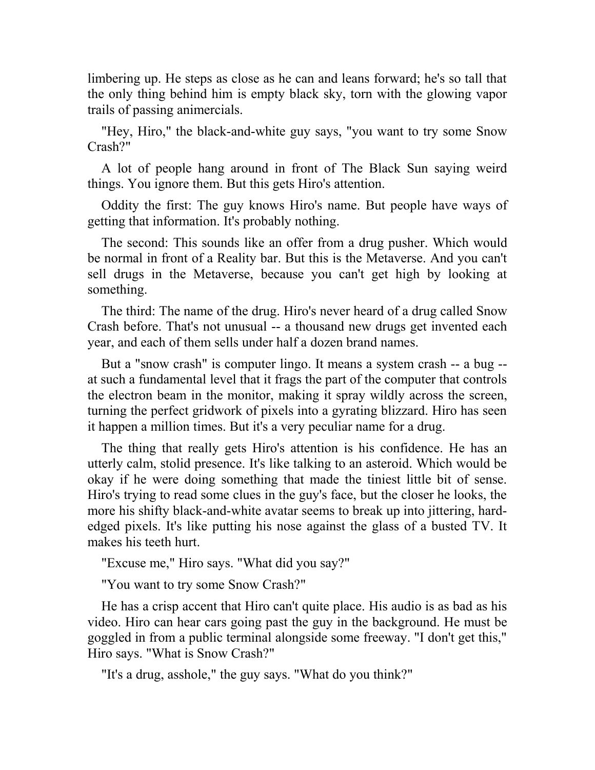limbering up. He steps as close as he can and leans forward; he's so tall that the only thing behind him is empty black sky, torn with the glowing vapor trails of passing animercials.

"Hey, Hiro," the black-and-white guy says, "you want to try some Snow Crash?"

A lot of people hang around in front of The Black Sun saying weird things. You ignore them. But this gets Hiro's attention.

Oddity the first: The guy knows Hiro's name. But people have ways of getting that information. It's probably nothing.

The second: This sounds like an offer from a drug pusher. Which would be normal in front of a Reality bar. But this is the Metaverse. And you can't sell drugs in the Metaverse, because you can't get high by looking at something.

The third: The name of the drug. Hiro's never heard of a drug called Snow Crash before. That's not unusual -- a thousand new drugs get invented each year, and each of them sells under half a dozen brand names.

But a "snow crash" is computer lingo. It means a system crash -- a bug - at such a fundamental level that it frags the part of the computer that controls the electron beam in the monitor, making it spray wildly across the screen, turning the perfect gridwork of pixels into a gyrating blizzard. Hiro has seen it happen a million times. But it's a very peculiar name for a drug.

The thing that really gets Hiro's attention is his confidence. He has an utterly calm, stolid presence. It's like talking to an asteroid. Which would be okay if he were doing something that made the tiniest little bit of sense. Hiro's trying to read some clues in the guy's face, but the closer he looks, the more his shifty black-and-white avatar seems to break up into jittering, hardedged pixels. It's like putting his nose against the glass of a busted TV. It makes his teeth hurt.

"Excuse me," Hiro says. "What did you say?"

"You want to try some Snow Crash?"

He has a crisp accent that Hiro can't quite place. His audio is as bad as his video. Hiro can hear cars going past the guy in the background. He must be goggled in from a public terminal alongside some freeway. "I don't get this," Hiro says. "What is Snow Crash?"

"It's a drug, asshole," the guy says. "What do you think?"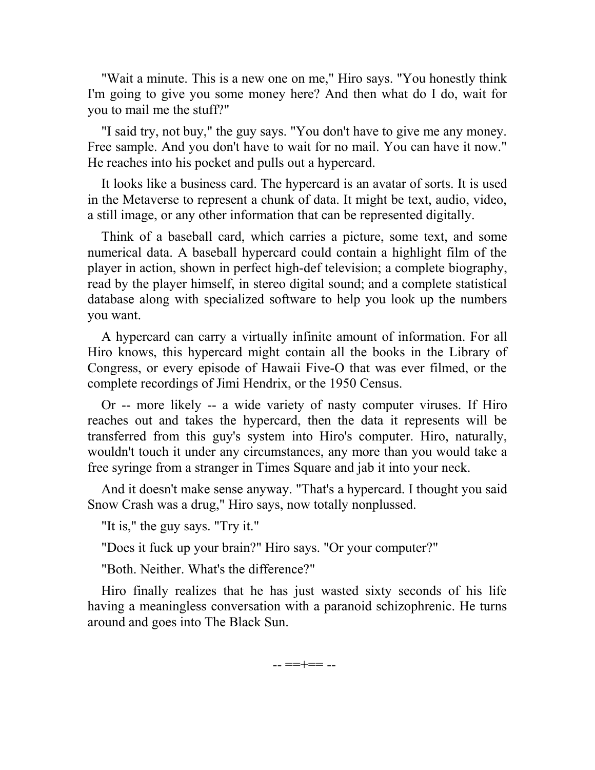"Wait a minute. This is a new one on me," Hiro says. "You honestly think I'm going to give you some money here? And then what do I do, wait for you to mail me the stuff?"

"I said try, not buy," the guy says. "You don't have to give me any money. Free sample. And you don't have to wait for no mail. You can have it now." He reaches into his pocket and pulls out a hypercard.

It looks like a business card. The hypercard is an avatar of sorts. It is used in the Metaverse to represent a chunk of data. It might be text, audio, video, a still image, or any other information that can be represented digitally.

Think of a baseball card, which carries a picture, some text, and some numerical data. A baseball hypercard could contain a highlight film of the player in action, shown in perfect high-def television; a complete biography, read by the player himself, in stereo digital sound; and a complete statistical database along with specialized software to help you look up the numbers you want.

A hypercard can carry a virtually infinite amount of information. For all Hiro knows, this hypercard might contain all the books in the Library of Congress, or every episode of Hawaii Five-O that was ever filmed, or the complete recordings of Jimi Hendrix, or the 1950 Census.

Or -- more likely -- a wide variety of nasty computer viruses. If Hiro reaches out and takes the hypercard, then the data it represents will be transferred from this guy's system into Hiro's computer. Hiro, naturally, wouldn't touch it under any circumstances, any more than you would take a free syringe from a stranger in Times Square and jab it into your neck.

And it doesn't make sense anyway. "That's a hypercard. I thought you said Snow Crash was a drug," Hiro says, now totally nonplussed.

"It is," the guy says. "Try it."

"Does it fuck up your brain?" Hiro says. "Or your computer?"

"Both. Neither. What's the difference?"

Hiro finally realizes that he has just wasted sixty seconds of his life having a meaningless conversation with a paranoid schizophrenic. He turns around and goes into The Black Sun.

 $-$  == $+$   $=$   $-$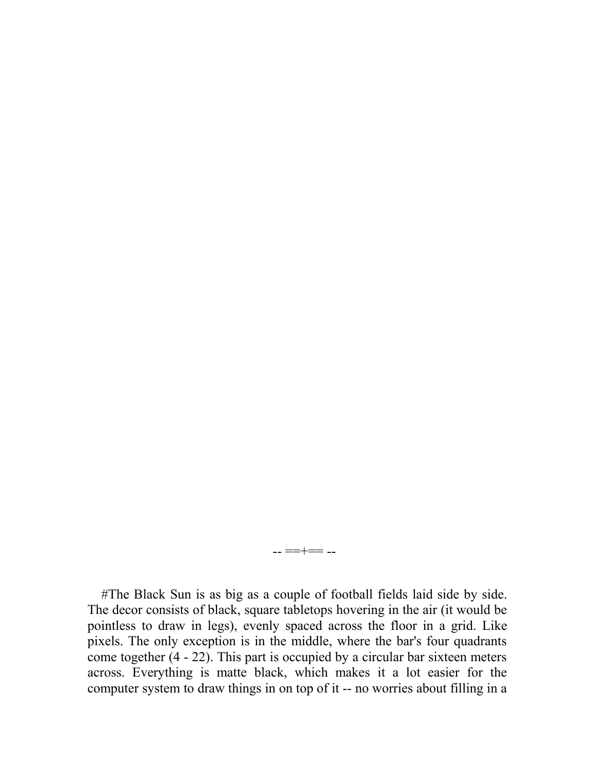-- ==+== --

#The Black Sun is as big as a couple of football fields laid side by side. The decor consists of black, square tabletops hovering in the air (it would be pointless to draw in legs), evenly spaced across the floor in a grid. Like pixels. The only exception is in the middle, where the bar's four quadrants come together (4 - 22). This part is occupied by a circular bar sixteen meters across. Everything is matte black, which makes it a lot easier for the computer system to draw things in on top of it -- no worries about filling in a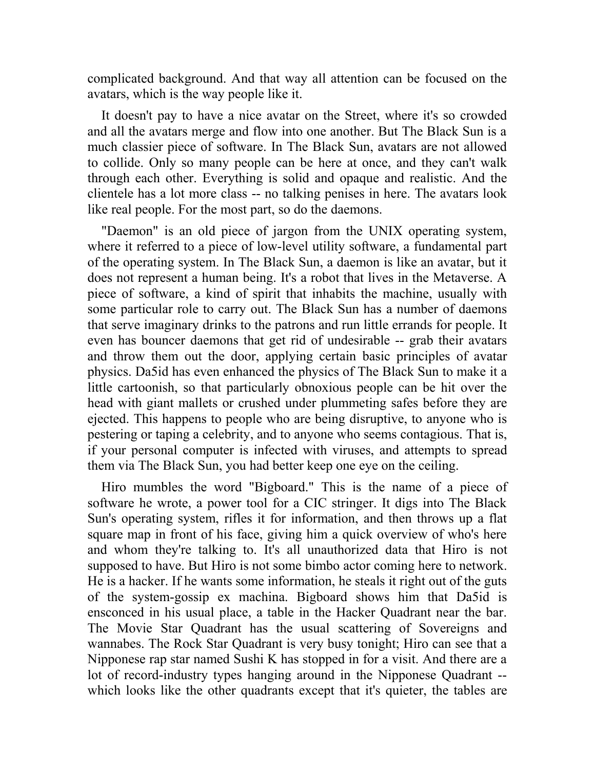complicated background. And that way all attention can be focused on the avatars, which is the way people like it.

It doesn't pay to have a nice avatar on the Street, where it's so crowded and all the avatars merge and flow into one another. But The Black Sun is a much classier piece of software. In The Black Sun, avatars are not allowed to collide. Only so many people can be here at once, and they can't walk through each other. Everything is solid and opaque and realistic. And the clientele has a lot more class -- no talking penises in here. The avatars look like real people. For the most part, so do the daemons.

"Daemon" is an old piece of jargon from the UNIX operating system, where it referred to a piece of low-level utility software, a fundamental part of the operating system. In The Black Sun, a daemon is like an avatar, but it does not represent a human being. It's a robot that lives in the Metaverse. A piece of software, a kind of spirit that inhabits the machine, usually with some particular role to carry out. The Black Sun has a number of daemons that serve imaginary drinks to the patrons and run little errands for people. It even has bouncer daemons that get rid of undesirable -- grab their avatars and throw them out the door, applying certain basic principles of avatar physics. Da5id has even enhanced the physics of The Black Sun to make it a little cartoonish, so that particularly obnoxious people can be hit over the head with giant mallets or crushed under plummeting safes before they are ejected. This happens to people who are being disruptive, to anyone who is pestering or taping a celebrity, and to anyone who seems contagious. That is, if your personal computer is infected with viruses, and attempts to spread them via The Black Sun, you had better keep one eye on the ceiling.

Hiro mumbles the word "Bigboard." This is the name of a piece of software he wrote, a power tool for a CIC stringer. It digs into The Black Sun's operating system, rifles it for information, and then throws up a flat square map in front of his face, giving him a quick overview of who's here and whom they're talking to. It's all unauthorized data that Hiro is not supposed to have. But Hiro is not some bimbo actor coming here to network. He is a hacker. If he wants some information, he steals it right out of the guts of the system-gossip ex machina. Bigboard shows him that Da5id is ensconced in his usual place, a table in the Hacker Quadrant near the bar. The Movie Star Quadrant has the usual scattering of Sovereigns and wannabes. The Rock Star Quadrant is very busy tonight; Hiro can see that a Nipponese rap star named Sushi K has stopped in for a visit. And there are a lot of record-industry types hanging around in the Nipponese Quadrant - which looks like the other quadrants except that it's quieter, the tables are